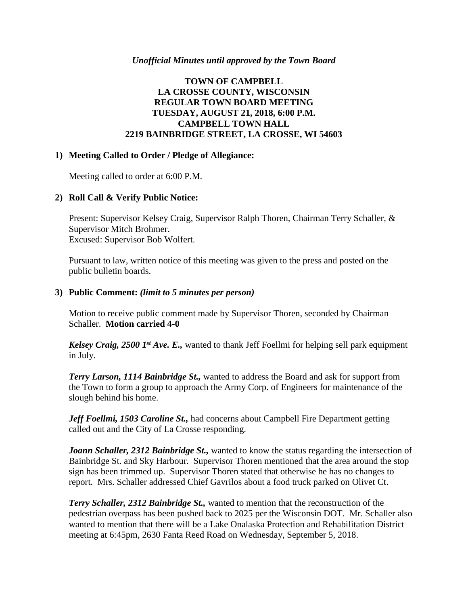#### *Unofficial Minutes until approved by the Town Board*

## **TOWN OF CAMPBELL LA CROSSE COUNTY, WISCONSIN REGULAR TOWN BOARD MEETING TUESDAY, AUGUST 21, 2018, 6:00 P.M. CAMPBELL TOWN HALL 2219 BAINBRIDGE STREET, LA CROSSE, WI 54603**

#### **1) Meeting Called to Order / Pledge of Allegiance:**

Meeting called to order at 6:00 P.M.

## **2) Roll Call & Verify Public Notice:**

Present: Supervisor Kelsey Craig, Supervisor Ralph Thoren, Chairman Terry Schaller, & Supervisor Mitch Brohmer. Excused: Supervisor Bob Wolfert.

Pursuant to law, written notice of this meeting was given to the press and posted on the public bulletin boards.

#### **3) Public Comment:** *(limit to 5 minutes per person)*

Motion to receive public comment made by Supervisor Thoren, seconded by Chairman Schaller. **Motion carried 4-0**

*Kelsey Craig, 2500 1st Ave. E.,* wanted to thank Jeff Foellmi for helping sell park equipment in July.

*Terry Larson, 1114 Bainbridge St.,* wanted to address the Board and ask for support from the Town to form a group to approach the Army Corp. of Engineers for maintenance of the slough behind his home.

*Jeff Foellmi, 1503 Caroline St.,* had concerns about Campbell Fire Department getting called out and the City of La Crosse responding.

*Joann Schaller, 2312 Bainbridge St., wanted to know the status regarding the intersection of* Bainbridge St. and Sky Harbour. Supervisor Thoren mentioned that the area around the stop sign has been trimmed up. Supervisor Thoren stated that otherwise he has no changes to report. Mrs. Schaller addressed Chief Gavrilos about a food truck parked on Olivet Ct.

*Terry Schaller, 2312 Bainbridge St.,* wanted to mention that the reconstruction of the pedestrian overpass has been pushed back to 2025 per the Wisconsin DOT. Mr. Schaller also wanted to mention that there will be a Lake Onalaska Protection and Rehabilitation District meeting at 6:45pm, 2630 Fanta Reed Road on Wednesday, September 5, 2018.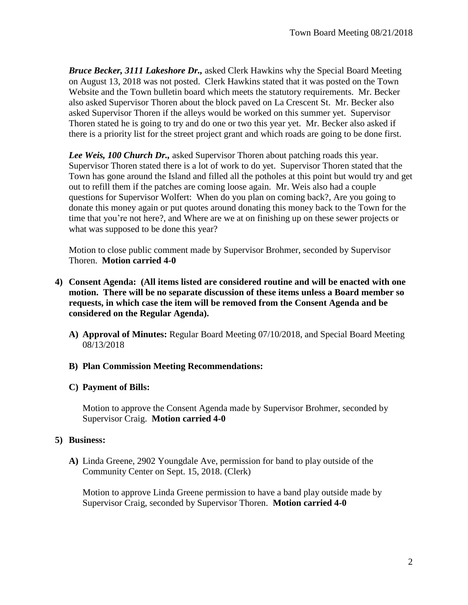*Bruce Becker, 3111 Lakeshore Dr.,* asked Clerk Hawkins why the Special Board Meeting on August 13, 2018 was not posted. Clerk Hawkins stated that it was posted on the Town Website and the Town bulletin board which meets the statutory requirements. Mr. Becker also asked Supervisor Thoren about the block paved on La Crescent St. Mr. Becker also asked Supervisor Thoren if the alleys would be worked on this summer yet. Supervisor Thoren stated he is going to try and do one or two this year yet. Mr. Becker also asked if there is a priority list for the street project grant and which roads are going to be done first.

*Lee Weis, 100 Church Dr.,* asked Supervisor Thoren about patching roads this year. Supervisor Thoren stated there is a lot of work to do yet. Supervisor Thoren stated that the Town has gone around the Island and filled all the potholes at this point but would try and get out to refill them if the patches are coming loose again. Mr. Weis also had a couple questions for Supervisor Wolfert: When do you plan on coming back?, Are you going to donate this money again or put quotes around donating this money back to the Town for the time that you're not here?, and Where are we at on finishing up on these sewer projects or what was supposed to be done this year?

Motion to close public comment made by Supervisor Brohmer, seconded by Supervisor Thoren. **Motion carried 4-0**

- **4) Consent Agenda: (All items listed are considered routine and will be enacted with one motion. There will be no separate discussion of these items unless a Board member so requests, in which case the item will be removed from the Consent Agenda and be considered on the Regular Agenda).**
	- **A) Approval of Minutes:** Regular Board Meeting 07/10/2018, and Special Board Meeting 08/13/2018

## **B) Plan Commission Meeting Recommendations:**

## **C) Payment of Bills:**

Motion to approve the Consent Agenda made by Supervisor Brohmer, seconded by Supervisor Craig. **Motion carried 4-0**

## **5) Business:**

**A)** Linda Greene, 2902 Youngdale Ave, permission for band to play outside of the Community Center on Sept. 15, 2018. (Clerk)

Motion to approve Linda Greene permission to have a band play outside made by Supervisor Craig, seconded by Supervisor Thoren. **Motion carried 4-0**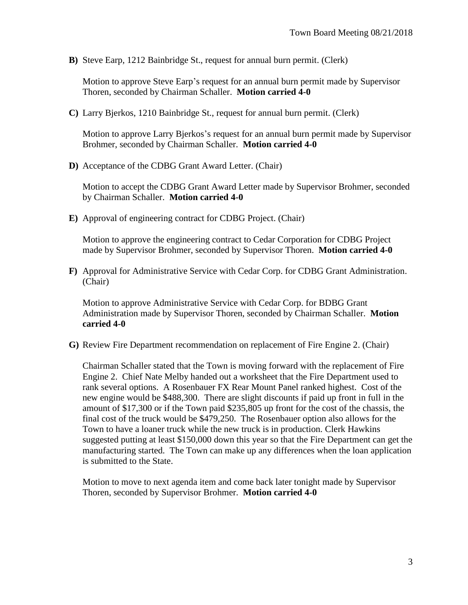**B)** Steve Earp, 1212 Bainbridge St., request for annual burn permit. (Clerk)

Motion to approve Steve Earp's request for an annual burn permit made by Supervisor Thoren, seconded by Chairman Schaller. **Motion carried 4-0**

**C)** Larry Bjerkos, 1210 Bainbridge St., request for annual burn permit. (Clerk)

Motion to approve Larry Bjerkos's request for an annual burn permit made by Supervisor Brohmer, seconded by Chairman Schaller. **Motion carried 4-0**

**D)** Acceptance of the CDBG Grant Award Letter. (Chair)

Motion to accept the CDBG Grant Award Letter made by Supervisor Brohmer, seconded by Chairman Schaller. **Motion carried 4-0**

**E)** Approval of engineering contract for CDBG Project. (Chair)

Motion to approve the engineering contract to Cedar Corporation for CDBG Project made by Supervisor Brohmer, seconded by Supervisor Thoren. **Motion carried 4-0**

**F)** Approval for Administrative Service with Cedar Corp. for CDBG Grant Administration. (Chair)

Motion to approve Administrative Service with Cedar Corp. for BDBG Grant Administration made by Supervisor Thoren, seconded by Chairman Schaller. **Motion carried 4-0**

**G)** Review Fire Department recommendation on replacement of Fire Engine 2. (Chair)

Chairman Schaller stated that the Town is moving forward with the replacement of Fire Engine 2. Chief Nate Melby handed out a worksheet that the Fire Department used to rank several options. A Rosenbauer FX Rear Mount Panel ranked highest. Cost of the new engine would be \$488,300. There are slight discounts if paid up front in full in the amount of \$17,300 or if the Town paid \$235,805 up front for the cost of the chassis, the final cost of the truck would be \$479,250. The Rosenbauer option also allows for the Town to have a loaner truck while the new truck is in production. Clerk Hawkins suggested putting at least \$150,000 down this year so that the Fire Department can get the manufacturing started. The Town can make up any differences when the loan application is submitted to the State.

Motion to move to next agenda item and come back later tonight made by Supervisor Thoren, seconded by Supervisor Brohmer. **Motion carried 4-0**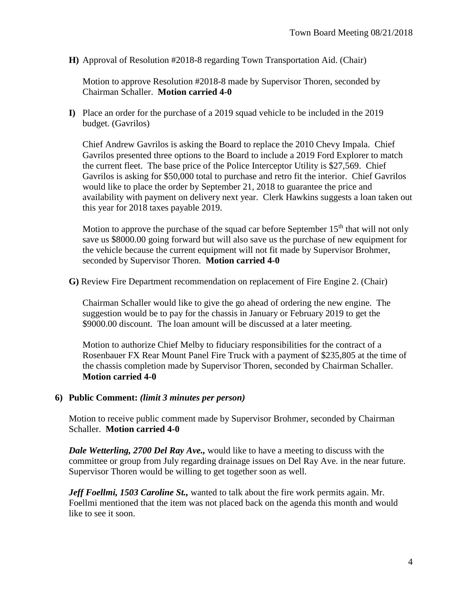**H)** Approval of Resolution #2018-8 regarding Town Transportation Aid. (Chair)

Motion to approve Resolution #2018-8 made by Supervisor Thoren, seconded by Chairman Schaller. **Motion carried 4-0**

**I)** Place an order for the purchase of a 2019 squad vehicle to be included in the 2019 budget. (Gavrilos)

Chief Andrew Gavrilos is asking the Board to replace the 2010 Chevy Impala. Chief Gavrilos presented three options to the Board to include a 2019 Ford Explorer to match the current fleet. The base price of the Police Interceptor Utility is \$27,569. Chief Gavrilos is asking for \$50,000 total to purchase and retro fit the interior. Chief Gavrilos would like to place the order by September 21, 2018 to guarantee the price and availability with payment on delivery next year. Clerk Hawkins suggests a loan taken out this year for 2018 taxes payable 2019.

Motion to approve the purchase of the squad car before September  $15<sup>th</sup>$  that will not only save us \$8000.00 going forward but will also save us the purchase of new equipment for the vehicle because the current equipment will not fit made by Supervisor Brohmer, seconded by Supervisor Thoren. **Motion carried 4-0**

**G)** Review Fire Department recommendation on replacement of Fire Engine 2. (Chair)

Chairman Schaller would like to give the go ahead of ordering the new engine. The suggestion would be to pay for the chassis in January or February 2019 to get the \$9000.00 discount. The loan amount will be discussed at a later meeting.

Motion to authorize Chief Melby to fiduciary responsibilities for the contract of a Rosenbauer FX Rear Mount Panel Fire Truck with a payment of \$235,805 at the time of the chassis completion made by Supervisor Thoren, seconded by Chairman Schaller. **Motion carried 4-0**

## **6) Public Comment:** *(limit 3 minutes per person)*

Motion to receive public comment made by Supervisor Brohmer, seconded by Chairman Schaller. **Motion carried 4-0**

*Dale Wetterling, 2700 Del Ray Ave.,* would like to have a meeting to discuss with the committee or group from July regarding drainage issues on Del Ray Ave. in the near future. Supervisor Thoren would be willing to get together soon as well.

*Jeff Foellmi, 1503 Caroline St.,* wanted to talk about the fire work permits again. Mr. Foellmi mentioned that the item was not placed back on the agenda this month and would like to see it soon.